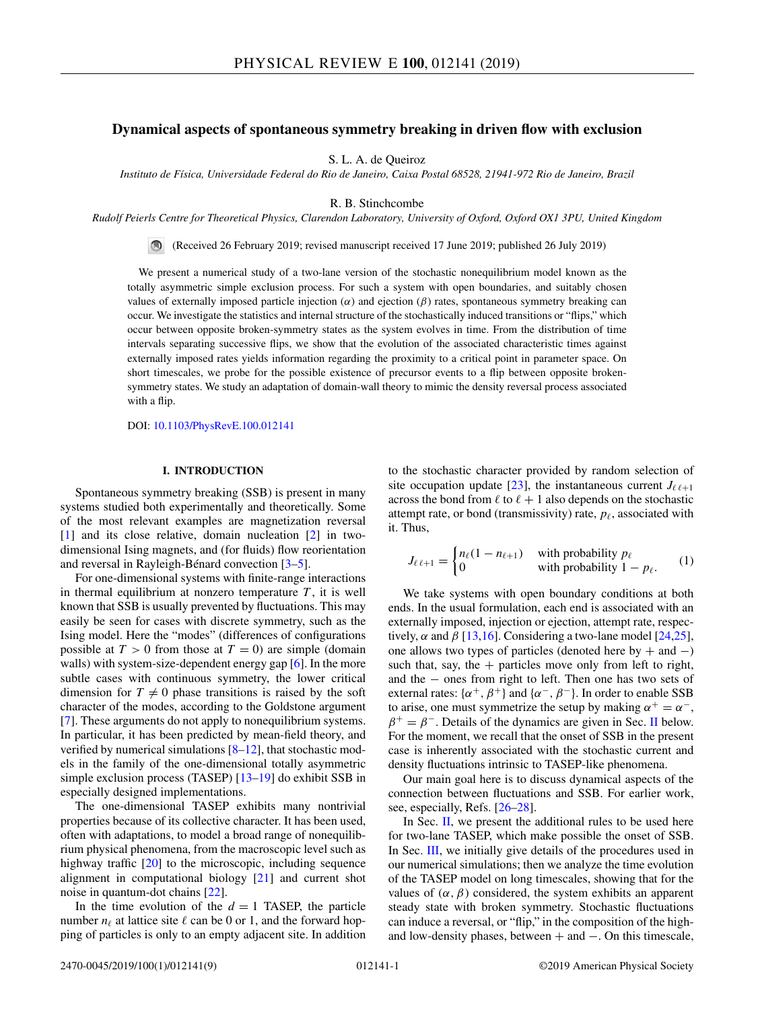# <span id="page-0-0"></span>**Dynamical aspects of spontaneous symmetry breaking in driven flow with exclusion**

S. L. A. de Queiroz

*Instituto de Física, Universidade Federal do Rio de Janeiro, Caixa Postal 68528, 21941-972 Rio de Janeiro, Brazil*

R. B. Stinchcombe

*Rudolf Peierls Centre for Theoretical Physics, Clarendon Laboratory, University of Oxford, Oxford OX1 3PU, United Kingdom*

(Received 26 February 2019; revised manuscript received 17 June 2019; published 26 July 2019)

We present a numerical study of a two-lane version of the stochastic nonequilibrium model known as the totally asymmetric simple exclusion process. For such a system with open boundaries, and suitably chosen values of externally imposed particle injection  $(\alpha)$  and ejection  $(\beta)$  rates, spontaneous symmetry breaking can occur. We investigate the statistics and internal structure of the stochastically induced transitions or "flips," which occur between opposite broken-symmetry states as the system evolves in time. From the distribution of time intervals separating successive flips, we show that the evolution of the associated characteristic times against externally imposed rates yields information regarding the proximity to a critical point in parameter space. On short timescales, we probe for the possible existence of precursor events to a flip between opposite brokensymmetry states. We study an adaptation of domain-wall theory to mimic the density reversal process associated with a flip.

DOI: [10.1103/PhysRevE.100.012141](https://doi.org/10.1103/PhysRevE.100.012141)

# **I. INTRODUCTION**

Spontaneous symmetry breaking (SSB) is present in many systems studied both experimentally and theoretically. Some of the most relevant examples are magnetization reversal [\[1\]](#page-7-0) and its close relative, domain nucleation [\[2\]](#page-7-0) in twodimensional Ising magnets, and (for fluids) flow reorientation and reversal in Rayleigh-Bénard convection [\[3–5\]](#page-7-0).

For one-dimensional systems with finite-range interactions in thermal equilibrium at nonzero temperature  $T$ , it is well known that SSB is usually prevented by fluctuations. This may easily be seen for cases with discrete symmetry, such as the Ising model. Here the "modes" (differences of configurations possible at  $T > 0$  from those at  $T = 0$ ) are simple (domain walls) with system-size-dependent energy gap [\[6\]](#page-7-0). In the more subtle cases with continuous symmetry, the lower critical dimension for  $T \neq 0$  phase transitions is raised by the soft character of the modes, according to the Goldstone argument [\[7\]](#page-7-0). These arguments do not apply to nonequilibrium systems. In particular, it has been predicted by mean-field theory, and verified by numerical simulations  $[8-12]$ , that stochastic models in the family of the one-dimensional totally asymmetric simple exclusion process (TASEP) [\[13–19\]](#page-7-0) do exhibit SSB in especially designed implementations.

The one-dimensional TASEP exhibits many nontrivial properties because of its collective character. It has been used, often with adaptations, to model a broad range of nonequilibrium physical phenomena, from the macroscopic level such as highway traffic [\[20\]](#page-7-0) to the microscopic, including sequence alignment in computational biology [\[21\]](#page-8-0) and current shot noise in quantum-dot chains [\[22\]](#page-8-0).

In the time evolution of the  $d = 1$  TASEP, the particle number  $n_{\ell}$  at lattice site  $\ell$  can be 0 or 1, and the forward hopping of particles is only to an empty adjacent site. In addition to the stochastic character provided by random selection of site occupation update [\[23\]](#page-8-0), the instantaneous current  $J_{\ell,\ell+1}$ across the bond from  $\ell$  to  $\ell + 1$  also depends on the stochastic attempt rate, or bond (transmissivity) rate,  $p_{\ell}$ , associated with it. Thus,

$$
J_{\ell \ell+1} = \begin{cases} n_{\ell}(1 - n_{\ell+1}) & \text{with probability } p_{\ell} \\ 0 & \text{with probability } 1 - p_{\ell}. \end{cases} \tag{1}
$$

We take systems with open boundary conditions at both ends. In the usual formulation, each end is associated with an externally imposed, injection or ejection, attempt rate, respectively,  $\alpha$  and  $\beta$  [\[13,16\]](#page-7-0). Considering a two-lane model [\[24,25\]](#page-8-0), one allows two types of particles (denoted here by  $+$  and  $-)$ such that, say, the  $+$  particles move only from left to right, and the − ones from right to left. Then one has two sets of external rates:  $\{\alpha^+, \beta^+\}$  and  $\{\alpha^-, \beta^-\}$ . In order to enable SSB to arise, one must symmetrize the setup by making  $\alpha^+ = \alpha^-$ ,  $\beta^+ = \beta^-$ . Details of the dynamics are given in Sec. [II](#page-1-0) below. For the moment, we recall that the onset of SSB in the present case is inherently associated with the stochastic current and density fluctuations intrinsic to TASEP-like phenomena.

Our main goal here is to discuss dynamical aspects of the connection between fluctuations and SSB. For earlier work, see, especially, Refs. [\[26–28\]](#page-8-0).

In Sec.  $II$ , we present the additional rules to be used here for two-lane TASEP, which make possible the onset of SSB. In Sec. [III,](#page-1-0) we initially give details of the procedures used in our numerical simulations; then we analyze the time evolution of the TASEP model on long timescales, showing that for the values of  $(\alpha, \beta)$  considered, the system exhibits an apparent steady state with broken symmetry. Stochastic fluctuations can induce a reversal, or "flip," in the composition of the highand low-density phases, between + and −. On this timescale,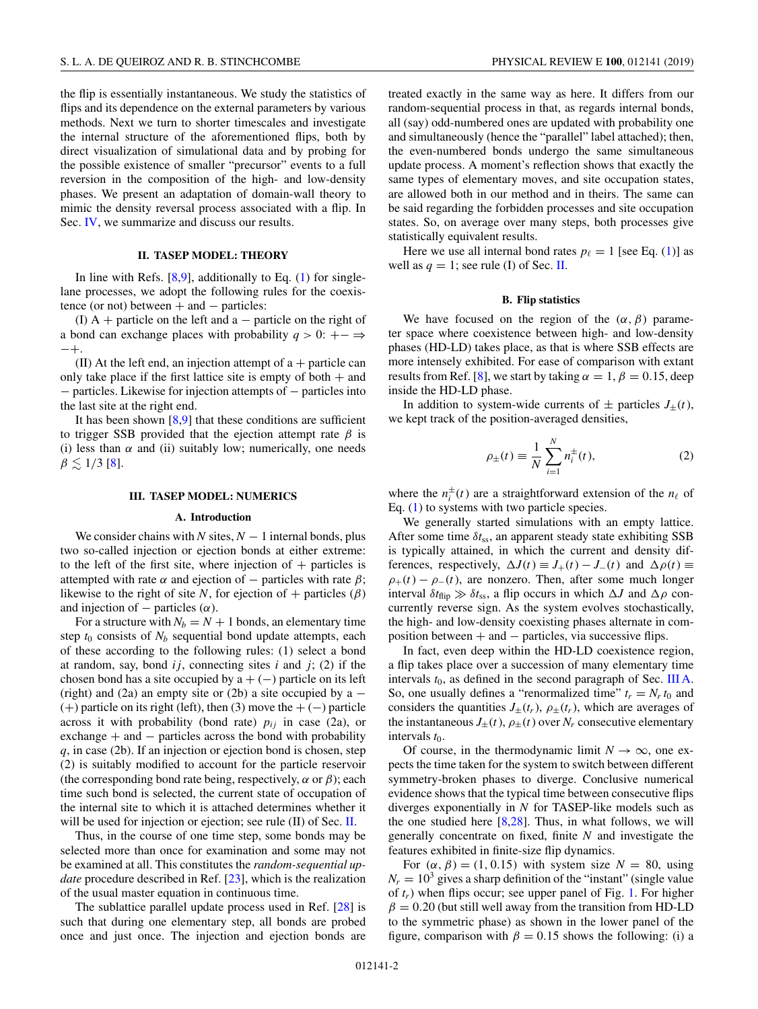<span id="page-1-0"></span>the flip is essentially instantaneous. We study the statistics of flips and its dependence on the external parameters by various methods. Next we turn to shorter timescales and investigate the internal structure of the aforementioned flips, both by direct visualization of simulational data and by probing for the possible existence of smaller "precursor" events to a full reversion in the composition of the high- and low-density phases. We present an adaptation of domain-wall theory to mimic the density reversal process associated with a flip. In Sec. [IV,](#page-6-0) we summarize and discuss our results.

# **II. TASEP MODEL: THEORY**

In line with Refs.  $[8,9]$ , additionally to Eq.  $(1)$  for singlelane processes, we adopt the following rules for the coexistence (or not) between  $+$  and  $-$  particles:

(I)  $A$  + particle on the left and a – particle on the right of a bond can exchange places with probability  $q > 0$ : + − ⇒ −+.

(II) At the left end, an injection attempt of  $a +$  particle can only take place if the first lattice site is empty of both  $+$  and − particles. Likewise for injection attempts of − particles into the last site at the right end.

It has been shown  $[8,9]$  that these conditions are sufficient to trigger SSB provided that the ejection attempt rate  $\beta$  is (i) less than  $\alpha$  and (ii) suitably low; numerically, one needs  $\beta \lesssim 1/3$  [\[8\]](#page-7-0).

#### **III. TASEP MODEL: NUMERICS**

#### **A. Introduction**

We consider chains with *N* sites,  $N-1$  internal bonds, plus two so-called injection or ejection bonds at either extreme: to the left of the first site, where injection of  $+$  particles is attempted with rate  $\alpha$  and ejection of – particles with rate  $\beta$ ; likewise to the right of site *N*, for ejection of + particles  $(\beta)$ and injection of  $-$  particles  $(\alpha)$ .

For a structure with  $N_b = N + 1$  bonds, an elementary time step  $t_0$  consists of  $N_b$  sequential bond update attempts, each of these according to the following rules: (1) select a bond at random, say, bond  $ij$ , connecting sites  $i$  and  $j$ ; (2) if the chosen bond has a site occupied by  $a + (-)$  particle on its left (right) and (2a) an empty site or (2b) a site occupied by a  $(+)$  particle on its right (left), then (3) move the  $+(-)$  particle across it with probability (bond rate)  $p_{ij}$  in case (2a), or exchange  $+$  and  $-$  particles across the bond with probability *q*, in case (2b). If an injection or ejection bond is chosen, step (2) is suitably modified to account for the particle reservoir (the corresponding bond rate being, respectively,  $\alpha$  or  $\beta$ ); each time such bond is selected, the current state of occupation of the internal site to which it is attached determines whether it will be used for injection or ejection; see rule (II) of Sec. II.

Thus, in the course of one time step, some bonds may be selected more than once for examination and some may not be examined at all. This constitutes the *random-sequential update* procedure described in Ref. [\[23\]](#page-8-0), which is the realization of the usual master equation in continuous time.

The sublattice parallel update process used in Ref. [\[28\]](#page-8-0) is such that during one elementary step, all bonds are probed once and just once. The injection and ejection bonds are

treated exactly in the same way as here. It differs from our random-sequential process in that, as regards internal bonds, all (say) odd-numbered ones are updated with probability one and simultaneously (hence the "parallel" label attached); then, the even-numbered bonds undergo the same simultaneous update process. A moment's reflection shows that exactly the same types of elementary moves, and site occupation states, are allowed both in our method and in theirs. The same can be said regarding the forbidden processes and site occupation states. So, on average over many steps, both processes give statistically equivalent results.

Here we use all internal bond rates  $p_{\ell} = 1$  [see Eq. [\(1\)](#page-0-0)] as well as  $q = 1$ ; see rule (I) of Sec. II.

# **B. Flip statistics**

We have focused on the region of the  $(\alpha, \beta)$  parameter space where coexistence between high- and low-density phases (HD-LD) takes place, as that is where SSB effects are more intensely exhibited. For ease of comparison with extant results from Ref. [\[8\]](#page-7-0), we start by taking  $\alpha = 1, \beta = 0.15$ , deep inside the HD-LD phase.

In addition to system-wide currents of  $\pm$  particles  $J_{\pm}(t)$ , we kept track of the position-averaged densities,

$$
\rho_{\pm}(t) \equiv \frac{1}{N} \sum_{i=1}^{N} n_i^{\pm}(t),
$$
\n(2)

where the  $n_i^{\pm}(t)$  are a straightforward extension of the  $n_{\ell}$  of Eq. [\(1\)](#page-0-0) to systems with two particle species.

We generally started simulations with an empty lattice. After some time  $\delta t_{ss}$ , an apparent steady state exhibiting SSB is typically attained, in which the current and density differences, respectively,  $\Delta J(t) \equiv J_+(t) - J_-(t)$  and  $\Delta \rho(t) \equiv$  $\rho_{+}(t) - \rho_{-}(t)$ , are nonzero. Then, after some much longer interval  $\delta t_{\text{flip}} \gg \delta t_{\text{ss}}$ , a flip occurs in which  $\Delta J$  and  $\Delta \rho$  concurrently reverse sign. As the system evolves stochastically, the high- and low-density coexisting phases alternate in composition between  $+$  and  $-$  particles, via successive flips.

In fact, even deep within the HD-LD coexistence region, a flip takes place over a succession of many elementary time intervals  $t_0$ , as defined in the second paragraph of Sec. III A. So, one usually defines a "renormalized time"  $t_r = N_r t_0$  and considers the quantities  $J_{\pm}(t_r)$ ,  $\rho_{\pm}(t_r)$ , which are averages of the instantaneous  $J_{\pm}(t)$ ,  $\rho_{\pm}(t)$  over  $N_r$  consecutive elementary intervals  $t_0$ .

Of course, in the thermodynamic limit  $N \to \infty$ , one expects the time taken for the system to switch between different symmetry-broken phases to diverge. Conclusive numerical evidence shows that the typical time between consecutive flips diverges exponentially in *N* for TASEP-like models such as the one studied here  $[8,28]$  $[8,28]$ . Thus, in what follows, we will generally concentrate on fixed, finite *N* and investigate the features exhibited in finite-size flip dynamics.

For  $(\alpha, \beta) = (1, 0.15)$  with system size  $N = 80$ , using  $N_r = 10^3$  gives a sharp definition of the "instant" (single value of  $t_r$ ) when flips occur; see upper panel of Fig. [1.](#page-2-0) For higher  $\beta = 0.20$  (but still well away from the transition from HD-LD to the symmetric phase) as shown in the lower panel of the figure, comparison with  $\beta = 0.15$  shows the following: (i) a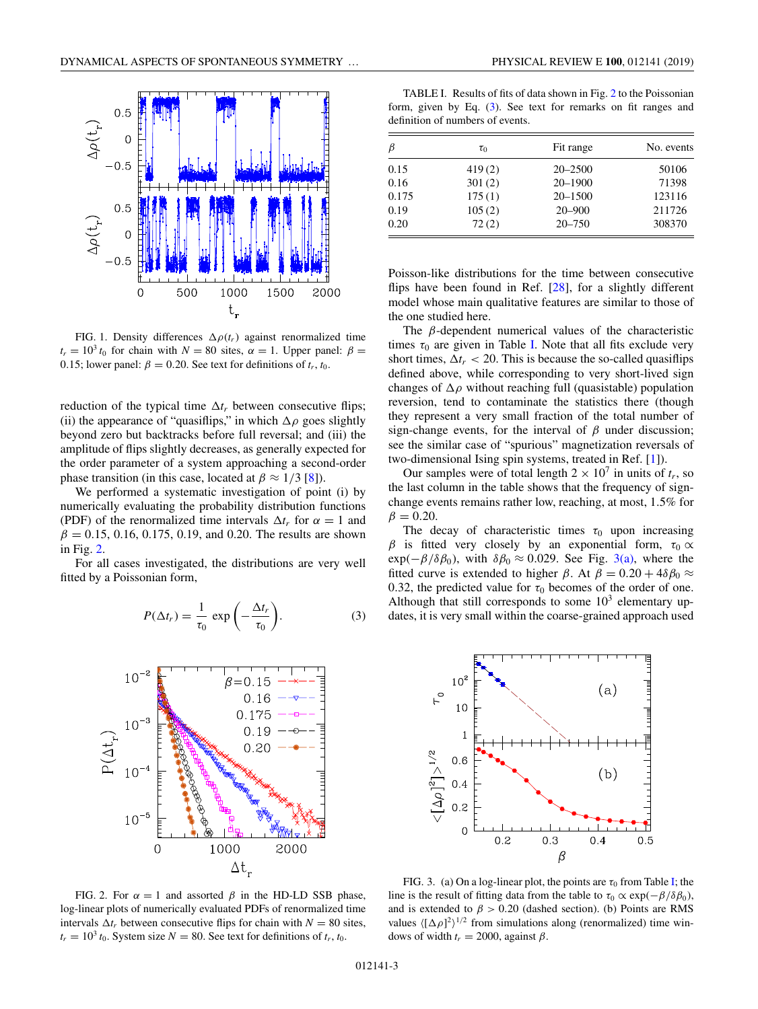<span id="page-2-0"></span>

FIG. 1. Density differences  $\Delta \rho(t_r)$  against renormalized time  $t_r = 10^3 t_0$  for chain with  $N = 80$  sites,  $\alpha = 1$ . Upper panel:  $\beta =$ 0.15; lower panel:  $\beta = 0.20$ . See text for definitions of  $t_r$ ,  $t_0$ .

reduction of the typical time  $\Delta t_r$  between consecutive flips; (ii) the appearance of "quasiflips," in which  $\Delta \rho$  goes slightly beyond zero but backtracks before full reversal; and (iii) the amplitude of flips slightly decreases, as generally expected for the order parameter of a system approaching a second-order phase transition (in this case, located at  $\beta \approx 1/3$  [\[8\]](#page-7-0)).

We performed a systematic investigation of point (i) by numerically evaluating the probability distribution functions (PDF) of the renormalized time intervals  $\Delta t_r$  for  $\alpha = 1$  and  $\beta = 0.15, 0.16, 0.175, 0.19,$  and 0.20. The results are shown in Fig. 2.

For all cases investigated, the distributions are very well fitted by a Poissonian form,

$$
P(\Delta t_r) = \frac{1}{\tau_0} \exp\left(-\frac{\Delta t_r}{\tau_0}\right).
$$
 (3)



FIG. 2. For  $\alpha = 1$  and assorted  $\beta$  in the HD-LD SSB phase, log-linear plots of numerically evaluated PDFs of renormalized time intervals  $\Delta t_r$  between consecutive flips for chain with  $N = 80$  sites,  $t_r = 10^3 t_0$ . System size  $N = 80$ . See text for definitions of  $t_r$ ,  $t_0$ .

TABLE I. Results of fits of data shown in Fig. 2 to the Poissonian form, given by Eq. (3). See text for remarks on fit ranges and definition of numbers of events.

| $\beta$ | $\tau_0$ | Fit range   | No. events |
|---------|----------|-------------|------------|
| 0.15    | 419(2)   | $20 - 2500$ | 50106      |
| 0.16    | 301(2)   | 20-1900     | 71398      |
| 0.175   | 175(1)   | $20 - 1500$ | 123116     |
| 0.19    | 105(2)   | $20 - 900$  | 211726     |
| 0.20    | 72(2)    | $20 - 750$  | 308370     |

Poisson-like distributions for the time between consecutive flips have been found in Ref.  $[28]$ , for a slightly different model whose main qualitative features are similar to those of the one studied here.

The  $\beta$ -dependent numerical values of the characteristic times  $\tau_0$  are given in Table I. Note that all fits exclude very short times,  $\Delta t_r < 20$ . This is because the so-called quasiflips defined above, while corresponding to very short-lived sign changes of  $\Delta \rho$  without reaching full (quasistable) population reversion, tend to contaminate the statistics there (though they represent a very small fraction of the total number of sign-change events, for the interval of  $\beta$  under discussion; see the similar case of "spurious" magnetization reversals of two-dimensional Ising spin systems, treated in Ref. [\[1\]](#page-7-0)).

Our samples were of total length  $2 \times 10^7$  in units of  $t_r$ , so the last column in the table shows that the frequency of signchange events remains rather low, reaching, at most, 1.5% for  $\beta = 0.20$ .

The decay of characteristic times  $\tau_0$  upon increasing β is fitted very closely by an exponential form,  $τ_0$  α  $\exp(-\beta/\delta\beta_0)$ , with  $\delta\beta_0 \approx 0.029$ . See Fig. 3(a), where the fitted curve is extended to higher  $\beta$ . At  $\beta = 0.20 + 4\delta\beta_0 \approx$ 0.32, the predicted value for  $\tau_0$  becomes of the order of one. Although that still corresponds to some  $10<sup>3</sup>$  elementary updates, it is very small within the coarse-grained approach used



FIG. 3. (a) On a log-linear plot, the points are  $\tau_0$  from Table I; the line is the result of fitting data from the table to  $\tau_0 \propto \exp(-\beta/\delta\beta_0)$ , and is extended to  $\beta > 0.20$  (dashed section). (b) Points are RMS values  $\langle [\Delta \rho]^2 \rangle^{1/2}$  from simulations along (renormalized) time windows of width  $t_r = 2000$ , against  $\beta$ .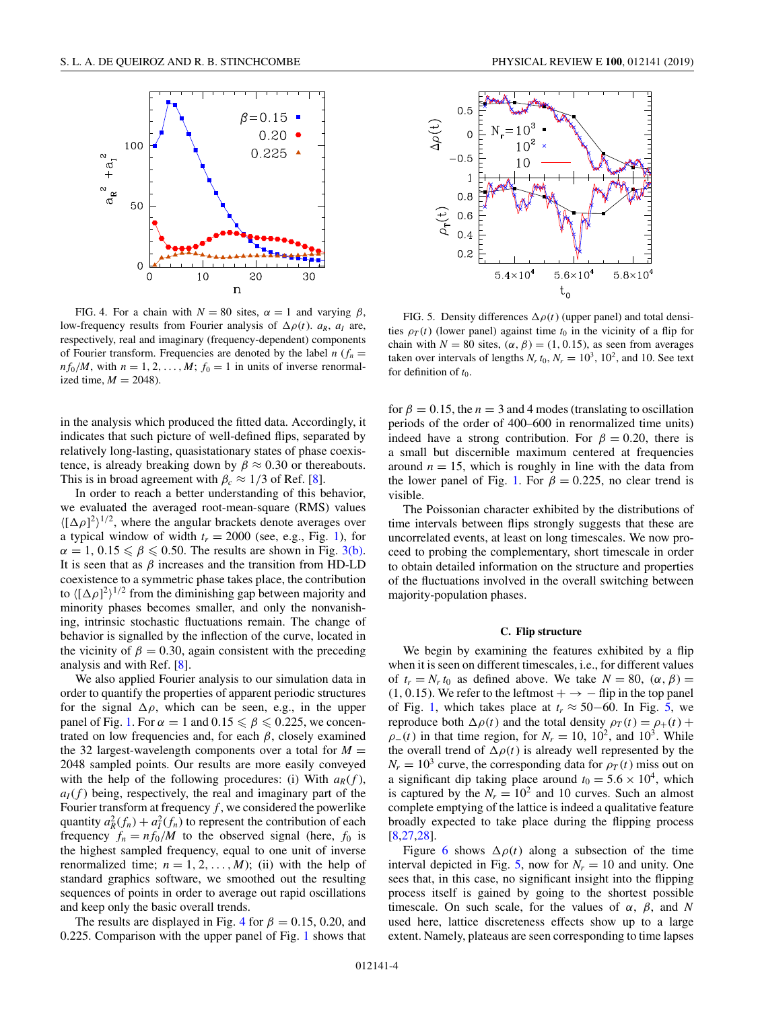<span id="page-3-0"></span>

FIG. 4. For a chain with  $N = 80$  sites,  $\alpha = 1$  and varying  $\beta$ , low-frequency results from Fourier analysis of  $\Delta \rho(t)$ .  $a_R$ ,  $a_I$  are, respectively, real and imaginary (frequency-dependent) components of Fourier transform. Frequencies are denoted by the label  $n(r_n)$  $nf_0/M$ , with  $n = 1, 2, ..., M$ ;  $f_0 = 1$  in units of inverse renormalized time,  $M = 2048$ ).

in the analysis which produced the fitted data. Accordingly, it indicates that such picture of well-defined flips, separated by relatively long-lasting, quasistationary states of phase coexistence, is already breaking down by  $\beta \approx 0.30$  or thereabouts. This is in broad agreement with  $\beta_c \approx 1/3$  of Ref. [\[8\]](#page-7-0).

In order to reach a better understanding of this behavior, we evaluated the averaged root-mean-square (RMS) values  $\langle [\Delta \rho]^2 \rangle^{1/2}$ , where the angular brackets denote averages over a typical window of width  $t_r = 2000$  (see, e.g., Fig. [1\)](#page-2-0), for  $\alpha = 1, 0.15 \le \beta \le 0.50$ . The results are shown in Fig. [3\(b\).](#page-2-0) It is seen that as  $\beta$  increases and the transition from HD-LD coexistence to a symmetric phase takes place, the contribution to  $\langle [\Delta \rho]^2 \rangle^{1/2}$  from the diminishing gap between majority and minority phases becomes smaller, and only the nonvanishing, intrinsic stochastic fluctuations remain. The change of behavior is signalled by the inflection of the curve, located in the vicinity of  $\beta = 0.30$ , again consistent with the preceding analysis and with Ref. [\[8\]](#page-7-0).

We also applied Fourier analysis to our simulation data in order to quantify the properties of apparent periodic structures for the signal  $\Delta \rho$ , which can be seen, e.g., in the upper panel of Fig. [1.](#page-2-0) For  $\alpha = 1$  and  $0.15 \le \beta \le 0.225$ , we concentrated on low frequencies and, for each  $\beta$ , closely examined the 32 largest-wavelength components over a total for  $M =$ 2048 sampled points. Our results are more easily conveyed with the help of the following procedures: (i) With  $a_R(f)$ ,  $a_I(f)$  being, respectively, the real and imaginary part of the Fourier transform at frequency *f* , we considered the powerlike quantity  $a_R^2(f_n) + a_I^2(f_n)$  to represent the contribution of each frequency  $f_n = nf_0/M$  to the observed signal (here,  $f_0$  is the highest sampled frequency, equal to one unit of inverse renormalized time;  $n = 1, 2, ..., M$ ); (ii) with the help of standard graphics software, we smoothed out the resulting sequences of points in order to average out rapid oscillations and keep only the basic overall trends.

The results are displayed in Fig. 4 for  $\beta = 0.15, 0.20$ , and 0.225. Comparison with the upper panel of Fig. [1](#page-2-0) shows that



FIG. 5. Density differences  $\Delta \rho(t)$  (upper panel) and total densities  $\rho_T(t)$  (lower panel) against time  $t_0$  in the vicinity of a flip for chain with  $N = 80$  sites,  $(\alpha, \beta) = (1, 0.15)$ , as seen from averages taken over intervals of lengths  $N_r t_0$ ,  $N_r = 10^3$ , 10<sup>2</sup>, and 10. See text for definition of  $t_0$ .

for  $\beta = 0.15$ , the  $n = 3$  and 4 modes (translating to oscillation periods of the order of 400–600 in renormalized time units) indeed have a strong contribution. For  $\beta = 0.20$ , there is a small but discernible maximum centered at frequencies around  $n = 15$ , which is roughly in line with the data from the lower panel of Fig. [1.](#page-2-0) For  $\beta = 0.225$ , no clear trend is visible.

The Poissonian character exhibited by the distributions of time intervals between flips strongly suggests that these are uncorrelated events, at least on long timescales. We now proceed to probing the complementary, short timescale in order to obtain detailed information on the structure and properties of the fluctuations involved in the overall switching between majority-population phases.

### **C. Flip structure**

We begin by examining the features exhibited by a flip when it is seen on different timescales, i.e., for different values of  $t_r = N_r t_0$  as defined above. We take  $N = 80$ ,  $(\alpha, \beta) =$  $(1, 0.15)$ . We refer to the leftmost  $+ \rightarrow -$  flip in the top panel of Fig. [1,](#page-2-0) which takes place at  $t_r \approx 50-60$ . In Fig. 5, we reproduce both  $\Delta \rho(t)$  and the total density  $\rho_T(t) = \rho_+(t) +$  $\rho_-(t)$  in that time region, for  $N_r = 10$ ,  $10^2$ , and  $10^3$ . While the overall trend of  $\Delta \rho(t)$  is already well represented by the  $N_r = 10^3$  curve, the corresponding data for  $\rho_T(t)$  miss out on a significant dip taking place around  $t_0 = 5.6 \times 10^4$ , which is captured by the  $N_r = 10^2$  and 10 curves. Such an almost complete emptying of the lattice is indeed a qualitative feature broadly expected to take place during the flipping process [\[8](#page-7-0)[,27,28\]](#page-8-0).

Figure [6](#page-4-0) shows  $\Delta \rho(t)$  along a subsection of the time interval depicted in Fig. 5, now for  $N_r = 10$  and unity. One sees that, in this case, no significant insight into the flipping process itself is gained by going to the shortest possible timescale. On such scale, for the values of  $\alpha$ ,  $\beta$ , and *N* used here, lattice discreteness effects show up to a large extent. Namely, plateaus are seen corresponding to time lapses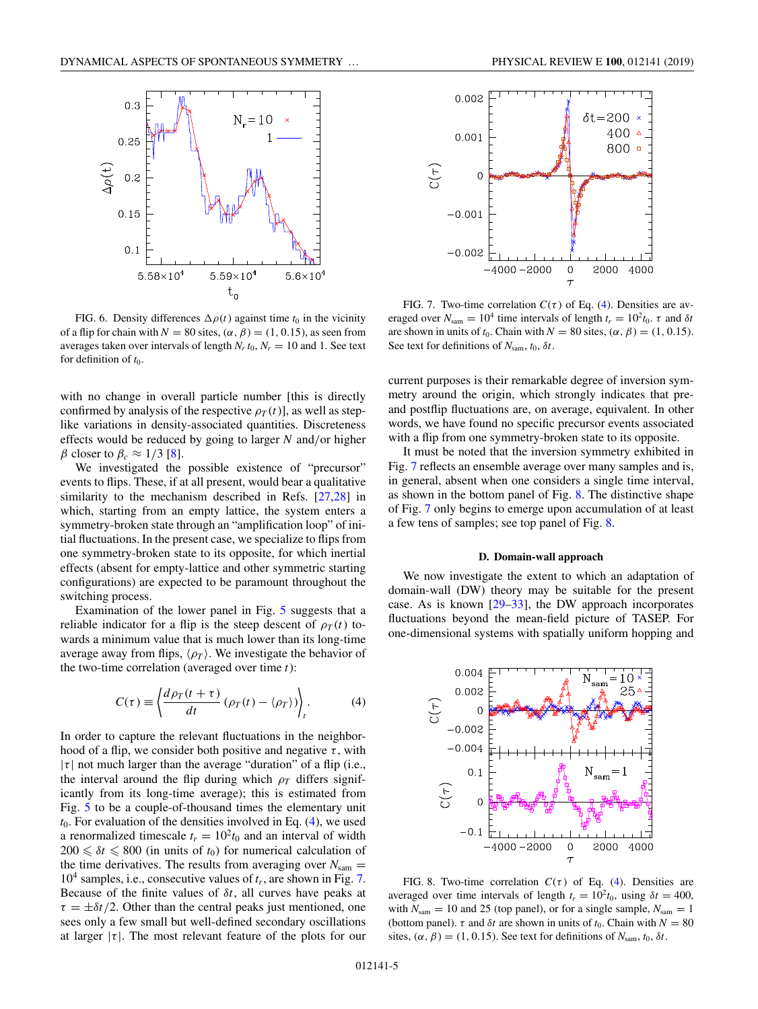<span id="page-4-0"></span>

FIG. 6. Density differences  $\Delta \rho(t)$  against time  $t_0$  in the vicinity of a flip for chain with  $N = 80$  sites,  $(\alpha, \beta) = (1, 0.15)$ , as seen from averages taken over intervals of length  $N_r t_0$ ,  $N_r = 10$  and 1. See text for definition of  $t_0$ .

with no change in overall particle number [this is directly confirmed by analysis of the respective  $\rho_T(t)$ ], as well as steplike variations in density-associated quantities. Discreteness effects would be reduced by going to larger *N* and/or higher β closer to  $β<sub>c</sub> ≈ 1/3$  [\[8\]](#page-7-0).

We investigated the possible existence of "precursor" events to flips. These, if at all present, would bear a qualitative similarity to the mechanism described in Refs. [\[27,28\]](#page-8-0) in which, starting from an empty lattice, the system enters a symmetry-broken state through an "amplification loop" of initial fluctuations. In the present case, we specialize to flips from one symmetry-broken state to its opposite, for which inertial effects (absent for empty-lattice and other symmetric starting configurations) are expected to be paramount throughout the switching process.

Examination of the lower panel in Fig. [5](#page-3-0) suggests that a reliable indicator for a flip is the steep descent of  $\rho_T(t)$  towards a minimum value that is much lower than its long-time average away from flips,  $\langle \rho_T \rangle$ . We investigate the behavior of the two-time correlation (averaged over time *t*):

$$
C(\tau) \equiv \left\langle \frac{d\rho_T(t+\tau)}{dt} \left( \rho_T(t) - \langle \rho_T \rangle \right) \right\rangle_t.
$$
 (4)

In order to capture the relevant fluctuations in the neighborhood of a flip, we consider both positive and negative  $\tau$ , with  $|\tau|$  not much larger than the average "duration" of a flip (i.e., the interval around the flip during which  $\rho_T$  differs significantly from its long-time average); this is estimated from Fig. [5](#page-3-0) to be a couple-of-thousand times the elementary unit  $t_0$ . For evaluation of the densities involved in Eq.  $(4)$ , we used a renormalized timescale  $t_r = 10^2 t_0$  and an interval of width  $200 \leq \delta t \leq 800$  (in units of  $t_0$ ) for numerical calculation of the time derivatives. The results from averaging over  $N_{\text{sam}} =$ 10<sup>4</sup> samples, i.e., consecutive values of *tr*, are shown in Fig. 7. Because of the finite values of δ*t*, all curves have peaks at  $\tau = \pm \delta t/2$ . Other than the central peaks just mentioned, one sees only a few small but well-defined secondary oscillations at larger  $|\tau|$ . The most relevant feature of the plots for our





FIG. 7. Two-time correlation  $C(\tau)$  of Eq. (4). Densities are averaged over  $N_{\text{sam}} = 10^4$  time intervals of length  $t_r = 10^2 t_0$ . τ and  $\delta t$ are shown in units of  $t_0$ . Chain with  $N = 80$  sites,  $(\alpha, \beta) = (1, 0.15)$ . See text for definitions of *N*sam, *t*0, δ*t*.

current purposes is their remarkable degree of inversion symmetry around the origin, which strongly indicates that preand postflip fluctuations are, on average, equivalent. In other words, we have found no specific precursor events associated with a flip from one symmetry-broken state to its opposite.

It must be noted that the inversion symmetry exhibited in Fig. 7 reflects an ensemble average over many samples and is, in general, absent when one considers a single time interval, as shown in the bottom panel of Fig. 8. The distinctive shape of Fig. 7 only begins to emerge upon accumulation of at least a few tens of samples; see top panel of Fig. 8.

### **D. Domain-wall approach**

We now investigate the extent to which an adaptation of domain-wall (DW) theory may be suitable for the present case. As is known  $[29-33]$ , the DW approach incorporates fluctuations beyond the mean-field picture of TASEP. For one-dimensional systems with spatially uniform hopping and



FIG. 8. Two-time correlation  $C(\tau)$  of Eq. (4). Densities are averaged over time intervals of length  $t_r = 10^2 t_0$ , using  $\delta t = 400$ , with  $N_{\text{sam}} = 10$  and 25 (top panel), or for a single sample,  $N_{\text{sam}} = 1$ (bottom panel).  $\tau$  and  $\delta t$  are shown in units of  $t_0$ . Chain with  $N = 80$ sites,  $(\alpha, \beta) = (1, 0.15)$ . See text for definitions of  $N_{\text{sam}}$ ,  $t_0$ ,  $\delta t$ .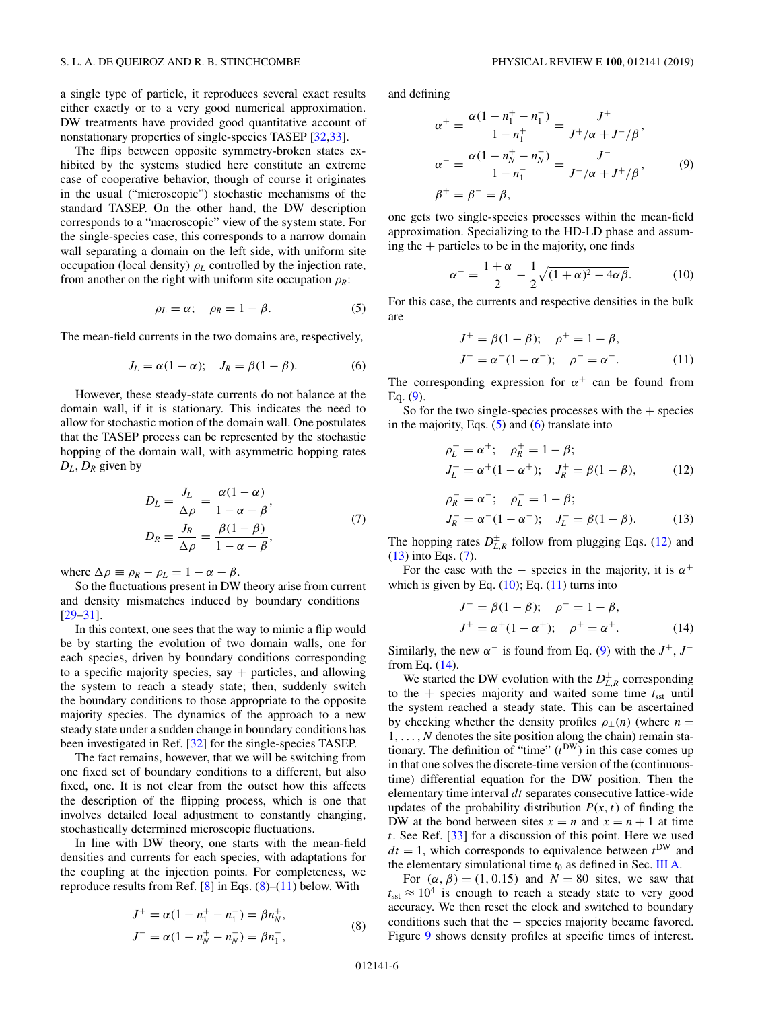a single type of particle, it reproduces several exact results either exactly or to a very good numerical approximation. DW treatments have provided good quantitative account of nonstationary properties of single-species TASEP [\[32,33\]](#page-8-0).

The flips between opposite symmetry-broken states exhibited by the systems studied here constitute an extreme case of cooperative behavior, though of course it originates in the usual ("microscopic") stochastic mechanisms of the standard TASEP. On the other hand, the DW description corresponds to a "macroscopic" view of the system state. For the single-species case, this corresponds to a narrow domain wall separating a domain on the left side, with uniform site occupation (local density)  $\rho_L$  controlled by the injection rate, from another on the right with uniform site occupation  $\rho_R$ :

$$
\rho_L = \alpha; \quad \rho_R = 1 - \beta. \tag{5}
$$

The mean-field currents in the two domains are, respectively,

$$
J_L = \alpha (1 - \alpha); \quad J_R = \beta (1 - \beta). \tag{6}
$$

However, these steady-state currents do not balance at the domain wall, if it is stationary. This indicates the need to allow for stochastic motion of the domain wall. One postulates that the TASEP process can be represented by the stochastic hopping of the domain wall, with asymmetric hopping rates *DL*, *DR* given by

$$
D_L = \frac{J_L}{\Delta \rho} = \frac{\alpha (1 - \alpha)}{1 - \alpha - \beta},
$$
  
\n
$$
D_R = \frac{J_R}{\Delta \rho} = \frac{\beta (1 - \beta)}{1 - \alpha - \beta},
$$
\n(7)

where  $\Delta \rho \equiv \rho_R - \rho_L = 1 - \alpha - \beta$ .

So the fluctuations present in DW theory arise from current and density mismatches induced by boundary conditions [\[29–31\]](#page-8-0).

In this context, one sees that the way to mimic a flip would be by starting the evolution of two domain walls, one for each species, driven by boundary conditions corresponding to a specific majority species, say  $+$  particles, and allowing the system to reach a steady state; then, suddenly switch the boundary conditions to those appropriate to the opposite majority species. The dynamics of the approach to a new steady state under a sudden change in boundary conditions has been investigated in Ref. [\[32\]](#page-8-0) for the single-species TASEP.

The fact remains, however, that we will be switching from one fixed set of boundary conditions to a different, but also fixed, one. It is not clear from the outset how this affects the description of the flipping process, which is one that involves detailed local adjustment to constantly changing, stochastically determined microscopic fluctuations.

In line with DW theory, one starts with the mean-field densities and currents for each species, with adaptations for the coupling at the injection points. For completeness, we reproduce results from Ref.  $[8]$  in Eqs.  $(8)$ – $(11)$  below. With

$$
J^{+} = \alpha (1 - n_{1}^{+} - n_{1}^{-}) = \beta n_{N}^{+},
$$
  
\n
$$
J^{-} = \alpha (1 - n_{N}^{+} - n_{N}^{-}) = \beta n_{1}^{-},
$$
\n(8)

and defining

$$
\alpha^{+} = \frac{\alpha(1 - n_{1}^{+} - n_{1}^{-})}{1 - n_{1}^{+}} = \frac{J^{+}}{J^{+}/\alpha + J^{-}/\beta},
$$
  
\n
$$
\alpha^{-} = \frac{\alpha(1 - n_{N}^{+} - n_{N}^{-})}{1 - n_{1}^{-}} = \frac{J^{-}}{J^{-}/\alpha + J^{+}/\beta},
$$
(9)  
\n
$$
\beta^{+} = \beta^{-} = \beta,
$$

one gets two single-species processes within the mean-field approximation. Specializing to the HD-LD phase and assuming the  $+$  particles to be in the majority, one finds

$$
\alpha^{-} = \frac{1+\alpha}{2} - \frac{1}{2}\sqrt{(1+\alpha)^2 - 4\alpha\beta}.
$$
 (10)

For this case, the currents and respective densities in the bulk are

$$
J^{+} = \beta(1 - \beta); \quad \rho^{+} = 1 - \beta,
$$
  
\n
$$
J^{-} = \alpha^{-}(1 - \alpha^{-}); \quad \rho^{-} = \alpha^{-}.
$$
 (11)

The corresponding expression for  $\alpha^+$  can be found from Eq. (9).

So for the two single-species processes with the  $+$  species in the majority, Eqs.  $(5)$  and  $(6)$  translate into

$$
\rho_L^+ = \alpha^+; \quad \rho_R^+ = 1 - \beta; J_L^+ = \alpha^+ (1 - \alpha^+); \quad J_R^+ = \beta (1 - \beta),
$$
 (12)

$$
\rho_R^- = \alpha^-; \quad \rho_L^- = 1 - \beta; \nJ_R^- = \alpha^-(1 - \alpha^-); \quad J_L^- = \beta(1 - \beta). \tag{13}
$$

The hopping rates  $D_{L,R}^{\pm}$  follow from plugging Eqs. (12) and (13) into Eqs. (7).

For the case with the – species in the majority, it is  $\alpha^+$ which is given by Eq.  $(10)$ ; Eq.  $(11)$  turns into

$$
J^{-} = \beta(1 - \beta); \quad \rho^{-} = 1 - \beta,
$$
  
\n
$$
J^{+} = \alpha^{+}(1 - \alpha^{+}); \quad \rho^{+} = \alpha^{+}.
$$
 (14)

Similarly, the new  $\alpha^-$  is found from Eq. (9) with the  $J^+$ ,  $J^$ from Eq. (14).

We started the DW evolution with the  $D_{L,R}^{\pm}$  corresponding to the  $+$  species majority and waited some time  $t_{\text{sst}}$  until the system reached a steady state. This can be ascertained by checking whether the density profiles  $\rho_{\pm}(n)$  (where  $n =$ 1,...,*N* denotes the site position along the chain) remain stationary. The definition of "time"  $(t^{DW})$  in this case comes up in that one solves the discrete-time version of the (continuoustime) differential equation for the DW position. Then the elementary time interval *dt* separates consecutive lattice-wide updates of the probability distribution  $P(x, t)$  of finding the DW at the bond between sites  $x = n$  and  $x = n + 1$  at time *t*. See Ref. [\[33\]](#page-8-0) for a discussion of this point. Here we used  $dt = 1$ , which corresponds to equivalence between  $t^{DW}$  and the elementary simulational time  $t_0$  as defined in Sec. [III A.](#page-1-0)

For  $(\alpha, \beta) = (1, 0.15)$  and  $N = 80$  sites, we saw that  $t_{\rm sst} \approx 10^4$  is enough to reach a steady state to very good accuracy. We then reset the clock and switched to boundary conditions such that the − species majority became favored. Figure [9](#page-6-0) shows density profiles at specific times of interest.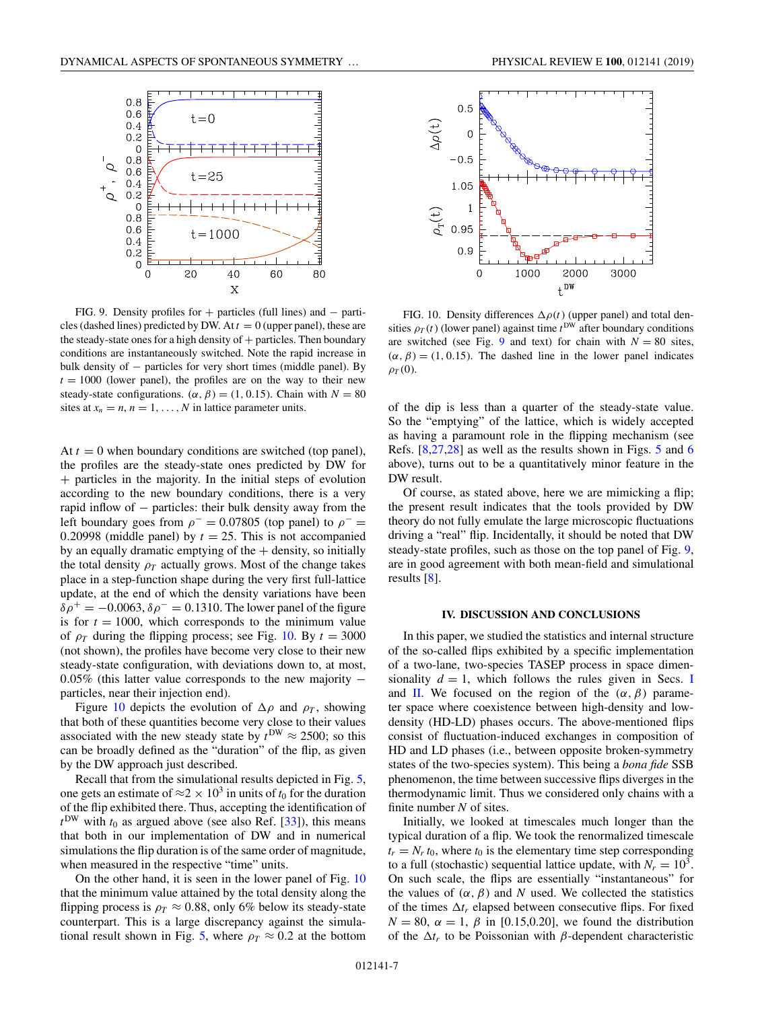<span id="page-6-0"></span>

FIG. 9. Density profiles for + particles (full lines) and − particles (dashed lines) predicted by DW. At  $t = 0$  (upper panel), these are the steady-state ones for a high density of  $+$  particles. Then boundary conditions are instantaneously switched. Note the rapid increase in bulk density of − particles for very short times (middle panel). By  $t = 1000$  (lower panel), the profiles are on the way to their new steady-state configurations. ( $\alpha$ ,  $\beta$ ) = (1, 0.15). Chain with *N* = 80 sites at  $x_n = n$ ,  $n = 1, \ldots, N$  in lattice parameter units.

At  $t = 0$  when boundary conditions are switched (top panel), the profiles are the steady-state ones predicted by DW for + particles in the majority. In the initial steps of evolution according to the new boundary conditions, there is a very rapid inflow of − particles: their bulk density away from the left boundary goes from  $\rho$ <sup>-</sup> = 0.07805 (top panel) to  $\rho$ <sup>-</sup> = 0.20998 (middle panel) by  $t = 25$ . This is not accompanied by an equally dramatic emptying of the  $+$  density, so initially the total density  $\rho_T$  actually grows. Most of the change takes place in a step-function shape during the very first full-lattice update, at the end of which the density variations have been  $\delta \rho^+ = -0.0063, \delta \rho^- = 0.1310$ . The lower panel of the figure is for  $t = 1000$ , which corresponds to the minimum value of  $\rho_T$  during the flipping process; see Fig. 10. By  $t = 3000$ (not shown), the profiles have become very close to their new steady-state configuration, with deviations down to, at most, 0.05% (this latter value corresponds to the new majority − particles, near their injection end).

Figure 10 depicts the evolution of  $\Delta \rho$  and  $\rho_T$ , showing that both of these quantities become very close to their values associated with the new steady state by  $t^{DW} \approx 2500$ ; so this can be broadly defined as the "duration" of the flip, as given by the DW approach just described.

Recall that from the simulational results depicted in Fig. [5,](#page-3-0) one gets an estimate of  $\approx 2 \times 10^3$  in units of  $t_0$  for the duration of the flip exhibited there. Thus, accepting the identification of  $t^{\text{DW}}$  with  $t_0$  as argued above (see also Ref. [\[33\]](#page-8-0)), this means that both in our implementation of DW and in numerical simulations the flip duration is of the same order of magnitude, when measured in the respective "time" units.

On the other hand, it is seen in the lower panel of Fig. 10 that the minimum value attained by the total density along the flipping process is  $\rho_T \approx 0.88$ , only 6% below its steady-state counterpart. This is a large discrepancy against the simula-tional result shown in Fig. [5,](#page-3-0) where  $\rho_T \approx 0.2$  at the bottom



FIG. 10. Density differences  $\Delta \rho(t)$  (upper panel) and total densities  $\rho_T(t)$  (lower panel) against time  $t^{DW}$  after boundary conditions are switched (see Fig. 9 and text) for chain with  $N = 80$  sites,  $(\alpha, \beta) = (1, 0.15)$ . The dashed line in the lower panel indicates  $\rho_T(0)$ .

of the dip is less than a quarter of the steady-state value. So the "emptying" of the lattice, which is widely accepted as having a paramount role in the flipping mechanism (see Refs. [\[8,](#page-7-0)[27,28\]](#page-8-0) as well as the results shown in Figs. [5](#page-3-0) and [6](#page-4-0) above), turns out to be a quantitatively minor feature in the DW result.

Of course, as stated above, here we are mimicking a flip; the present result indicates that the tools provided by DW theory do not fully emulate the large microscopic fluctuations driving a "real" flip. Incidentally, it should be noted that DW steady-state profiles, such as those on the top panel of Fig. 9, are in good agreement with both mean-field and simulational results [\[8\]](#page-7-0).

#### **IV. DISCUSSION AND CONCLUSIONS**

In this paper, we studied the statistics and internal structure of the so-called flips exhibited by a specific implementation of a two-lane, two-species TASEP process in space dimensionality  $d = 1$ , which follows the rules given in Secs. [I](#page-0-0) and [II.](#page-1-0) We focused on the region of the  $(\alpha, \beta)$  parameter space where coexistence between high-density and lowdensity (HD-LD) phases occurs. The above-mentioned flips consist of fluctuation-induced exchanges in composition of HD and LD phases (i.e., between opposite broken-symmetry states of the two-species system). This being a *bona fide* SSB phenomenon, the time between successive flips diverges in the thermodynamic limit. Thus we considered only chains with a finite number *N* of sites.

Initially, we looked at timescales much longer than the typical duration of a flip. We took the renormalized timescale  $t_r = N_r t_0$ , where  $t_0$  is the elementary time step corresponding to a full (stochastic) sequential lattice update, with  $N_r = 10^3$ . On such scale, the flips are essentially "instantaneous" for the values of  $(\alpha, \beta)$  and *N* used. We collected the statistics of the times  $\Delta t_r$  elapsed between consecutive flips. For fixed  $N = 80$ ,  $\alpha = 1$ ,  $\beta$  in [0.15,0.20], we found the distribution of the  $\Delta t_r$  to be Poissonian with  $\beta$ -dependent characteristic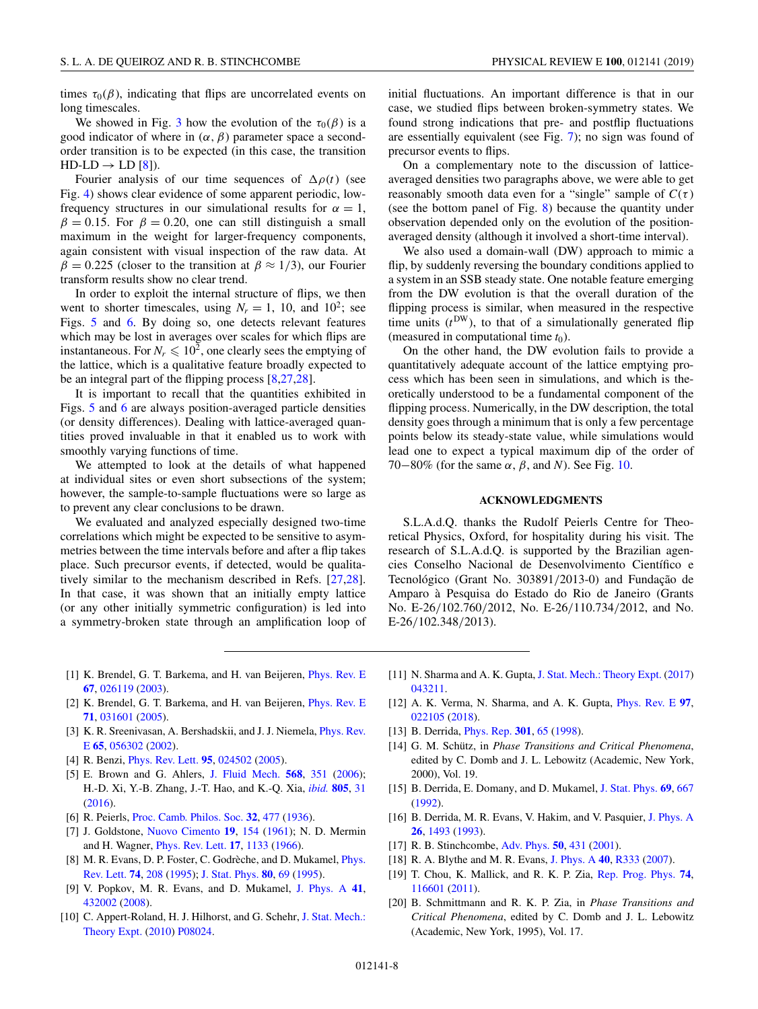<span id="page-7-0"></span>times  $\tau_0(\beta)$ , indicating that flips are uncorrelated events on long timescales.

We showed in Fig. [3](#page-2-0) how the evolution of the  $\tau_0(\beta)$  is a good indicator of where in  $(\alpha, \beta)$  parameter space a secondorder transition is to be expected (in this case, the transition  $HD-LD \rightarrow LD [8]).$ 

Fourier analysis of our time sequences of  $\Delta \rho(t)$  (see Fig. [4\)](#page-3-0) shows clear evidence of some apparent periodic, lowfrequency structures in our simulational results for  $\alpha = 1$ ,  $\beta = 0.15$ . For  $\beta = 0.20$ , one can still distinguish a small maximum in the weight for larger-frequency components, again consistent with visual inspection of the raw data. At  $\beta = 0.225$  (closer to the transition at  $\beta \approx 1/3$ ), our Fourier transform results show no clear trend.

In order to exploit the internal structure of flips, we then went to shorter timescales, using  $N_r = 1$ , 10, and 10<sup>2</sup>; see Figs. [5](#page-3-0) and [6.](#page-4-0) By doing so, one detects relevant features which may be lost in averages over scales for which flips are instantaneous. For  $N_r \leq 10^2$ , one clearly sees the emptying of the lattice, which is a qualitative feature broadly expected to be an integral part of the flipping process [8[,27,28\]](#page-8-0).

It is important to recall that the quantities exhibited in Figs. [5](#page-3-0) and [6](#page-4-0) are always position-averaged particle densities (or density differences). Dealing with lattice-averaged quantities proved invaluable in that it enabled us to work with smoothly varying functions of time.

We attempted to look at the details of what happened at individual sites or even short subsections of the system; however, the sample-to-sample fluctuations were so large as to prevent any clear conclusions to be drawn.

We evaluated and analyzed especially designed two-time correlations which might be expected to be sensitive to asymmetries between the time intervals before and after a flip takes place. Such precursor events, if detected, would be qualitatively similar to the mechanism described in Refs. [\[27,28\]](#page-8-0). In that case, it was shown that an initially empty lattice (or any other initially symmetric configuration) is led into a symmetry-broken state through an amplification loop of initial fluctuations. An important difference is that in our case, we studied flips between broken-symmetry states. We found strong indications that pre- and postflip fluctuations are essentially equivalent (see Fig. [7\)](#page-4-0); no sign was found of precursor events to flips.

On a complementary note to the discussion of latticeaveraged densities two paragraphs above, we were able to get reasonably smooth data even for a "single" sample of  $C(\tau)$ (see the bottom panel of Fig. [8\)](#page-4-0) because the quantity under observation depended only on the evolution of the positionaveraged density (although it involved a short-time interval).

We also used a domain-wall (DW) approach to mimic a flip, by suddenly reversing the boundary conditions applied to a system in an SSB steady state. One notable feature emerging from the DW evolution is that the overall duration of the flipping process is similar, when measured in the respective time units  $(t^{DW})$ , to that of a simulationally generated flip (measured in computational time  $t_0$ ).

On the other hand, the DW evolution fails to provide a quantitatively adequate account of the lattice emptying process which has been seen in simulations, and which is theoretically understood to be a fundamental component of the flipping process. Numerically, in the DW description, the total density goes through a minimum that is only a few percentage points below its steady-state value, while simulations would lead one to expect a typical maximum dip of the order of 70−80% (for the same  $\alpha$ ,  $\beta$ , and *N*). See Fig. [10.](#page-6-0)

### **ACKNOWLEDGMENTS**

S.L.A.d.Q. thanks the Rudolf Peierls Centre for Theoretical Physics, Oxford, for hospitality during his visit. The research of S.L.A.d.Q. is supported by the Brazilian agencies Conselho Nacional de Desenvolvimento Científico e Tecnológico (Grant No. 303891/2013-0) and Fundação de Amparo à Pesquisa do Estado do Rio de Janeiro (Grants No. E-26/102.760/2012, No. E-26/110.734/2012, and No. E-26/102.348/2013).

- [1] K. Brendel, G. T. Barkema, and H. van Beijeren, [Phys. Rev. E](https://doi.org/10.1103/PhysRevE.67.026119) **[67](https://doi.org/10.1103/PhysRevE.67.026119)**, [026119](https://doi.org/10.1103/PhysRevE.67.026119) [\(2003\)](https://doi.org/10.1103/PhysRevE.67.026119).
- [2] K. Brendel, G. T. Barkema, and H. van Beijeren, [Phys. Rev. E](https://doi.org/10.1103/PhysRevE.71.031601) **[71](https://doi.org/10.1103/PhysRevE.71.031601)**, [031601](https://doi.org/10.1103/PhysRevE.71.031601) [\(2005\)](https://doi.org/10.1103/PhysRevE.71.031601).
- [3] [K. R. Sreenivasan, A. Bershadskii, and J. J. Niemela,](https://doi.org/10.1103/PhysRevE.65.056302) *Phys. Rev.* E **[65](https://doi.org/10.1103/PhysRevE.65.056302)**, [056302](https://doi.org/10.1103/PhysRevE.65.056302) [\(2002\)](https://doi.org/10.1103/PhysRevE.65.056302).
- [4] R. Benzi, [Phys. Rev. Lett.](https://doi.org/10.1103/PhysRevLett.95.024502) **[95](https://doi.org/10.1103/PhysRevLett.95.024502)**, [024502](https://doi.org/10.1103/PhysRevLett.95.024502) [\(2005\)](https://doi.org/10.1103/PhysRevLett.95.024502).
- [5] E. Brown and G. Ahlers, [J. Fluid Mech.](https://doi.org/10.1017/S0022112006002540) **[568](https://doi.org/10.1017/S0022112006002540)**, [351](https://doi.org/10.1017/S0022112006002540) [\(2006\)](https://doi.org/10.1017/S0022112006002540); H.-D. Xi, Y.-B. Zhang, J.-T. Hao, and K.-Q. Xia, *[ibid.](https://doi.org/10.1017/jfm.2016.572)* **[805](https://doi.org/10.1017/jfm.2016.572)**, [31](https://doi.org/10.1017/jfm.2016.572) [\(2016\)](https://doi.org/10.1017/jfm.2016.572).
- [6] R. Peierls, [Proc. Camb. Philos. Soc.](https://doi.org/10.1017/S0305004100019174) **[32](https://doi.org/10.1017/S0305004100019174)**, [477](https://doi.org/10.1017/S0305004100019174) [\(1936\)](https://doi.org/10.1017/S0305004100019174).
- [7] J. Goldstone, [Nuovo Cimento](https://doi.org/10.1007/BF02812722) **[19](https://doi.org/10.1007/BF02812722)**, [154](https://doi.org/10.1007/BF02812722) [\(1961\)](https://doi.org/10.1007/BF02812722); N. D. Mermin and H. Wagner, [Phys. Rev. Lett.](https://doi.org/10.1103/PhysRevLett.17.1133) **[17](https://doi.org/10.1103/PhysRevLett.17.1133)**, [1133](https://doi.org/10.1103/PhysRevLett.17.1133) [\(1966\)](https://doi.org/10.1103/PhysRevLett.17.1133).
- [8] [M. R. Evans, D. P. Foster, C. Godrèche, and D. Mukamel,](https://doi.org/10.1103/PhysRevLett.74.208) *Phys.* Rev. Lett. **[74](https://doi.org/10.1103/PhysRevLett.74.208)**, [208](https://doi.org/10.1103/PhysRevLett.74.208) [\(1995\)](https://doi.org/10.1103/PhysRevLett.74.208); [J. Stat. Phys.](https://doi.org/10.1007/BF02178354) **[80](https://doi.org/10.1007/BF02178354)**, [69](https://doi.org/10.1007/BF02178354) [\(1995\)](https://doi.org/10.1007/BF02178354).
- [9] V. Popkov, M. R. Evans, and D. Mukamel, [J. Phys. A](https://doi.org/10.1088/1751-8113/41/43/432002) **[41](https://doi.org/10.1088/1751-8113/41/43/432002)**, [432002](https://doi.org/10.1088/1751-8113/41/43/432002) [\(2008\)](https://doi.org/10.1088/1751-8113/41/43/432002).
- [10] [C. Appert-Roland, H. J. Hilhorst, and G. Schehr,](https://doi.org/10.1088/1742-5468/2010/08/P08024) J. Stat. Mech.: Theory Expt. [\(2010\)](https://doi.org/10.1088/1742-5468/2010/08/P08024) [P08024.](https://doi.org/10.1088/1742-5468/2010/08/P08024)
- [11] N. Sharma and A. K. Gupta, [J. Stat. Mech.: Theory Expt.](https://doi.org/10.1088/1742-5468/aa6813) [\(2017\)](https://doi.org/10.1088/1742-5468/aa6813) [043211.](https://doi.org/10.1088/1742-5468/aa6813)
- [12] A. K. Verma, N. Sharma, and A. K. Gupta, [Phys. Rev. E](https://doi.org/10.1103/PhysRevE.97.022105) **[97](https://doi.org/10.1103/PhysRevE.97.022105)**, [022105](https://doi.org/10.1103/PhysRevE.97.022105) [\(2018\)](https://doi.org/10.1103/PhysRevE.97.022105).
- [13] B. Derrida, [Phys. Rep.](https://doi.org/10.1016/S0370-1573(98)00006-4) **[301](https://doi.org/10.1016/S0370-1573(98)00006-4)**, [65](https://doi.org/10.1016/S0370-1573(98)00006-4) [\(1998\)](https://doi.org/10.1016/S0370-1573(98)00006-4).
- [14] G. M. Schütz, in *Phase Transitions and Critical Phenomena*, edited by C. Domb and J. L. Lebowitz (Academic, New York, 2000), Vol. 19.
- [15] B. Derrida, E. Domany, and D. Mukamel, [J. Stat. Phys.](https://doi.org/10.1007/BF01050430) **[69](https://doi.org/10.1007/BF01050430)**, [667](https://doi.org/10.1007/BF01050430) [\(1992\)](https://doi.org/10.1007/BF01050430).
- [16] B. Derrida, M. R. Evans, V. Hakim, and V. Pasquier, [J. Phys. A](https://doi.org/10.1088/0305-4470/26/7/011) **[26](https://doi.org/10.1088/0305-4470/26/7/011)**, [1493](https://doi.org/10.1088/0305-4470/26/7/011) [\(1993\)](https://doi.org/10.1088/0305-4470/26/7/011).
- [17] R. B. Stinchcombe, [Adv. Phys.](https://doi.org/10.1080/00018730110099650) **[50](https://doi.org/10.1080/00018730110099650)**, [431](https://doi.org/10.1080/00018730110099650) [\(2001\)](https://doi.org/10.1080/00018730110099650).
- [18] R. A. Blythe and M. R. Evans, [J. Phys. A](https://doi.org/10.1088/1751-8113/40/46/R01) **[40](https://doi.org/10.1088/1751-8113/40/46/R01)**, [R333](https://doi.org/10.1088/1751-8113/40/46/R01) [\(2007\)](https://doi.org/10.1088/1751-8113/40/46/R01).
- [19] T. Chou, K. Mallick, and R. K. P. Zia, [Rep. Prog. Phys.](https://doi.org/10.1088/0034-4885/74/11/116601) **[74](https://doi.org/10.1088/0034-4885/74/11/116601)**, [116601](https://doi.org/10.1088/0034-4885/74/11/116601) [\(2011\)](https://doi.org/10.1088/0034-4885/74/11/116601).
- [20] B. Schmittmann and R. K. P. Zia, in *Phase Transitions and Critical Phenomena*, edited by C. Domb and J. L. Lebowitz (Academic, New York, 1995), Vol. 17.